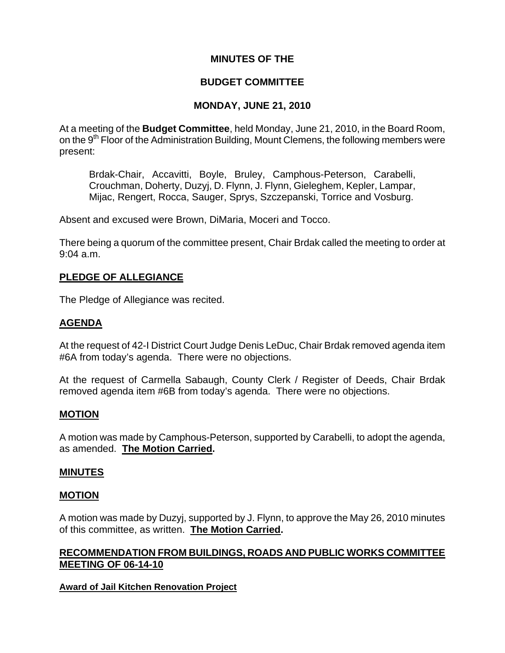# **MINUTES OF THE**

# **BUDGET COMMITTEE**

# **MONDAY, JUNE 21, 2010**

At a meeting of the **Budget Committee**, held Monday, June 21, 2010, in the Board Room, on the 9<sup>th</sup> Floor of the Administration Building, Mount Clemens, the following members were present:

Brdak-Chair, Accavitti, Boyle, Bruley, Camphous-Peterson, Carabelli, Crouchman, Doherty, Duzyj, D. Flynn, J. Flynn, Gieleghem, Kepler, Lampar, Mijac, Rengert, Rocca, Sauger, Sprys, Szczepanski, Torrice and Vosburg.

Absent and excused were Brown, DiMaria, Moceri and Tocco.

There being a quorum of the committee present, Chair Brdak called the meeting to order at 9:04 a.m.

# **PLEDGE OF ALLEGIANCE**

The Pledge of Allegiance was recited.

# **AGENDA**

At the request of 42-I District Court Judge Denis LeDuc, Chair Brdak removed agenda item #6A from today's agenda. There were no objections.

At the request of Carmella Sabaugh, County Clerk / Register of Deeds, Chair Brdak removed agenda item #6B from today's agenda. There were no objections.

## **MOTION**

A motion was made by Camphous-Peterson, supported by Carabelli, to adopt the agenda, as amended. **The Motion Carried.** 

#### **MINUTES**

#### **MOTION**

A motion was made by Duzyj, supported by J. Flynn, to approve the May 26, 2010 minutes of this committee, as written. **The Motion Carried.** 

## **RECOMMENDATION FROM BUILDINGS, ROADS AND PUBLIC WORKS COMMITTEE MEETING OF 06-14-10**

#### **Award of Jail Kitchen Renovation Project**